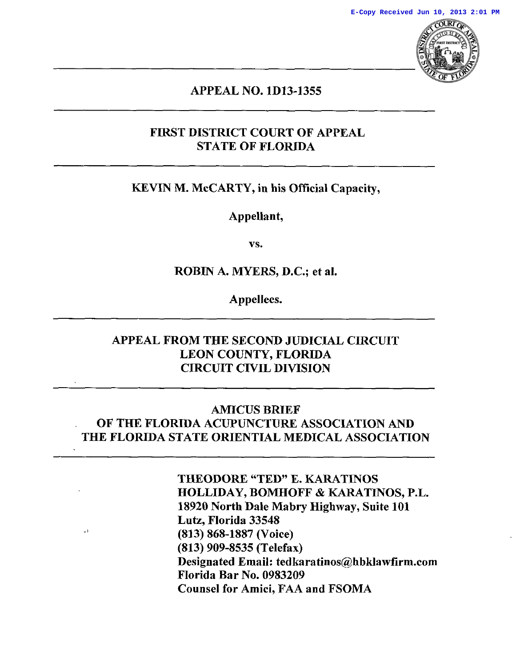

# APPEAL NO. 1D13-1355 APPEAL NO. 1D13-1355

## FIRST DISTRICT COURT OF APPEAL FIRST DISTRICT COURT OF APPEAL STATE OF FLORIDA STATE OF FLORIDA

## KEVIN M. McCARTY, in his Official Capacity, KEVIN M. McCARTY, in his Official Capacity,

Appellant, Appellant,

vs. vs.

ROBIN A. MYERS, D.C.; et al. ROBIN A. MYERS, D.C.; et al.

Appellees. Appellees.

## APPEAL FROM THE SECOND JUDICIAL CIRCUIT APPEAL FROM THE SECOND JUDICIAL CIRCUIT LEON COUNTY, FLORIDA LEON COUNTY, FLORIDA CIRCUIT CIVIL DIVISION CIRCUIT CIVIL DIVISION

## AMICUS BRIEF AMICUS BRIEF OF THE FLORIDA ACUPUNCTURE ASSOCIATION AND OF THE FLORIDA ACUPUNCTURE ASSOCIATION AND THE FLORIDA STATE ORIENTIAL MEDICAL ASSOCIATION THE FLORIDA STATE ORIENTIAL MEDICAL ASSOCIATION

THEODORE "TED" E. KARATINOS THEODORE "TED" E. KARATINOS HOLLIDAY, BOMHOFF & KARATINOS, P.L. HOLLIDAY, BOMHOFF & KARATINOS, P.L. 18920 North Dale Mabry Highway, Suite 101 18920 North Dale Mabry Highway, Suite 101 Lutz, Florida 33548 Lutz, Florida 33548  $(813) 868-1887$  (Voice) (813) 909-8535 (Telefax) (813) 909-8535 (Telefax) Designated Email: tedkaratinos@hbklawfirm.com Designated Email: tedkaratinos@hbklawfirm.com Florida Bar No. 0983209 Florida Bar No. 0983209 Counsel for Amici, FAA and FSOMA Counsel for Amici, FAA and FSOMA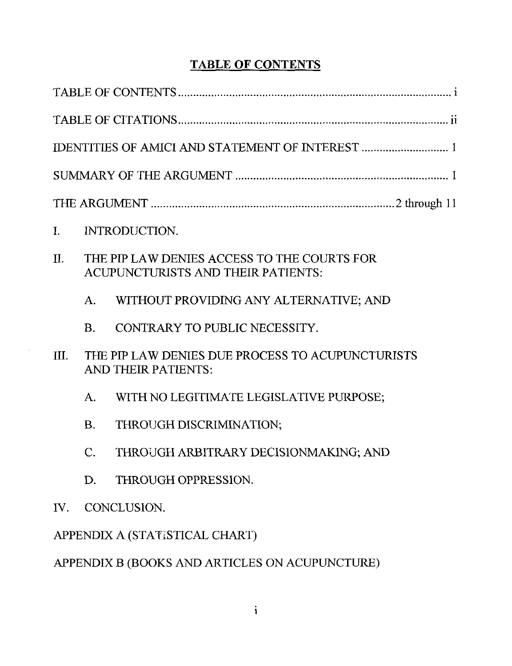# TABLE OF CONTENTS TABLE OF CONTENTS

| $\mathbf{I}$ .                                 | INTRODUCTION.   |                                                                                   |  |
|------------------------------------------------|-----------------|-----------------------------------------------------------------------------------|--|
| II.                                            |                 | THE PIP LAW DENIES ACCESS TO THE COURTS FOR<br>ACUPUNCTURISTS AND THEIR PATIENTS: |  |
|                                                | A.              | WITHOUT PROVIDING ANY ALTERNATIVE; AND                                            |  |
|                                                | B.              | CONTRARY TO PUBLIC NECESSITY.                                                     |  |
| III.                                           |                 | THE PIP LAW DENIES DUE PROCESS TO ACUPUNCTURISTS<br><b>AND THEIR PATIENTS:</b>    |  |
|                                                | A.              | WITH NO LEGITIMATE LEGISLATIVE PURPOSE;                                           |  |
|                                                | <b>B.</b>       | THROUGH DISCRIMINATION;                                                           |  |
|                                                | $\mathcal{C}$ . | THROUGH ARBITRARY DECISIONMAKING; AND                                             |  |
|                                                | D.              | THROUGH OPPRESSION.                                                               |  |
| IV.                                            | CONCLUSION.     |                                                                                   |  |
| APPENDIX A (STATISTICAL CHART)                 |                 |                                                                                   |  |
| APPENDIX B (BOOKS AND ARTICLES ON ACUPUNCTURE) |                 |                                                                                   |  |
|                                                |                 |                                                                                   |  |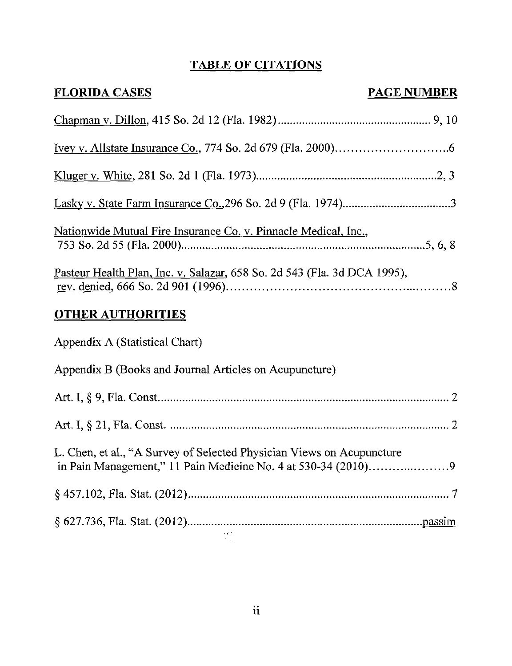## TABLE OF CITATIONS TABLE OF CITATIONS

| <b>FLORIDA CASES</b>                                                     | <b>PAGE NUMBER</b> |  |  |
|--------------------------------------------------------------------------|--------------------|--|--|
|                                                                          |                    |  |  |
|                                                                          |                    |  |  |
|                                                                          |                    |  |  |
|                                                                          |                    |  |  |
| <u> Nationwide Mutual Fire Insurance Co. v. Pinnacle Medical, Inc.,</u>  |                    |  |  |
| Pasteur Health Plan, Inc. v. Salazar, 658 So. 2d 543 (Fla. 3d DCA 1995), |                    |  |  |
| <b>OTHER AUTHORITIES</b>                                                 |                    |  |  |
| Appendix A (Statistical Chart)                                           |                    |  |  |
| Appendix B (Books and Journal Articles on Acupuncture)                   |                    |  |  |
|                                                                          |                    |  |  |
|                                                                          |                    |  |  |
| L. Chen, et al., "A Survey of Selected Physician Views on Acupuncture    |                    |  |  |
|                                                                          |                    |  |  |
|                                                                          |                    |  |  |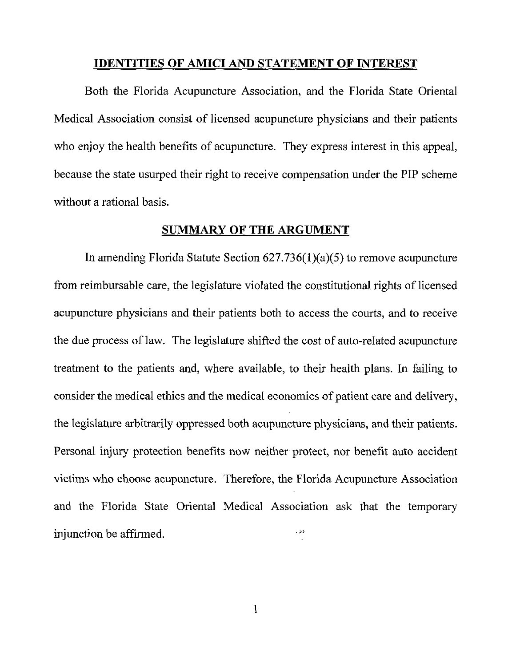#### IDENTITIES OF AMICI AND STATEMENT OF INTEREST **IDENTITIES OF AMICI** AND **STATEMENT OF INTEREST**

Both the Florida Acupuncture Association, and the Florida State Oriental Both the Florida Acupuncture Association, and the Florida State Oriental Medical Association consist of licensed acupuncture physicians and their patients Medical Association consist of licensed acupuncture physicians and their patients who enjoy the health benefits of acupuncture. They express interest in this appeal, who enjoy the health benefits of acupuncture. They express interest in this appeal, because the state usurped their right to receive compensation under the PIP scheme because the state usurped their right to receive compensation under the PIP scheme without a rational basis. without a rational basis.

#### SUMMARY OF THE ARGUMENT SUMMARY **OF THE** ARGUMENT

In amending Florida Statute Section 627.736(l)(a)(5) to remove acupuncture In amending Florida Statute Section 627.736(l)(a)(5) to remove acupuncture from reimbursable care, the legislature violated the constitutional rights of licensed from reimbursable care, the legislature violated the constitutional rights of licensed acupuncture physicians and their patients both to access the courts, and to receive acupuncture physicians and their patients both to access the courts, and to receive the due process of law. The legislature shifted the cost of auto-related acupuncture the due process of law. The legislature shifted the cost of auto-related acupuncture treatment to the patients and, where available, to their health plans. In failing to treatment to the patients and, where available, to their health plans. In failing to consider the medical ethics and the medical economics of patient care and delivery, consider the medical ethics and the medical economics of patient care and delivery, the legislature arbitrarily oppressed both acupuncture physicians, and their patients. the legislature arbitrarily oppressed both acupuncture physicians, and their patients. Personal injury protection benefits now neither protect, nor benefit auto accident Personal injury protection benefits now neither protect, nor benefit auto accident victims who choose acupuncture. Therefore, the Florida Acupuncture Association victims who choose acupuncture. Therefore, the Florida Acupuncture Association and the Florida State Oriental Medical Association ask that the temporary and the Florida State Oriental Medical Association ask that the temporary injunction be affirmed. injunction be affirmed. .

1 1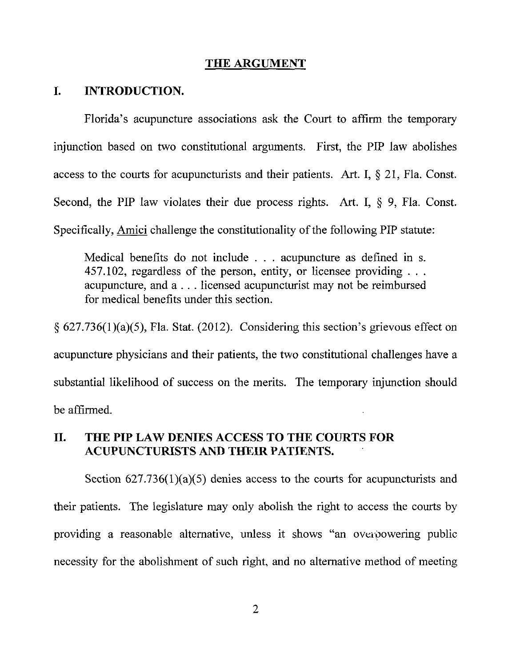#### THE ARGUMENT **THE ARGUMENT**

#### I. INTRODUCTION. **I. INTRODUCTION.**

Florida's acupuncture associations ask the Court to affirm the temporary Florida's acupuncture associations ask the Court to affirm the temporary injunction based on two constitutional arguments. First, the PIP law abolishes injunction based on two constitutional arguments. First, the PIP law abolishes access to the courts for acupuncturists and their patients. Art. I, § 21, Fla. Const. access to the courts for acupuncturists and their patients. Art. I, § 21, Fla. Const. Second, the PIP law violates their due process rights. Art. I, § 9, Fla. Const. Second, the PIP law violates their due process rights. Art. I, § 9, Fla. Const. Specifically, Amici challenge the constitutionality of the following PIP statute: Specifically, Amici challenge the constitutionality ofthe following PIP statute:

Medical benefits do not include . . . acupuncture as defined in s. Medical benefits do not include . . . acupuncture as defined in s. 457.102, regardless of the person, entity, or licensee providing 457.102, regardless of the person, entity, or licensee providing acupuncture, and a.. . licensed acupuncturist may not be reimbursed acupuncture, and a.. . licensed acupuncturist may not be reimbursed for medical benefits under this section. for medical benefits under this section.

§ 627.736(1)(a)(5), Fla. Stat. (2012). Considering this section's grievous effect on § *627.736(1)(a)(5),* Fla. Stat. (2012). Considering this section's grievous effect on acupuncture physicians and their patients, the two constitutional challenges have a acupuncture physicians and their patients, the two constitutional challenges have a substantial likelihood of success on the merits. The temporary injunction should substantial likelihood of success on the merits. The temporary injunction should be affirmed. be affirmed.

# II. THE PIP LAW DENIES ACCESS TO THE COURTS FOR II. THE **PIP LAW** DENIES ACCESS TO THE COURTS FOR ACUPUNCTURISTS AN!) THEIR PATIENTS. ACUPUNCTURISTS AND **THEIR** PATIENTS.

Section 627.736(1)(a)(5) denies access to the courts for acupuncturists and Section 627.736(1)(a)(5) denies access to the courts for acupuncturists and their patients. The legislature may only abolish the right to access the courts by their patients. The legislature may only abolish the right to access the courts by providing a reasonable alternative, unless it shows "an overbowering public providing a reasonable alternative, unless it shows "an overbowering public necessity for the abolishment of such right, and no alternative method of meeting necessity for the abolishment of such right, and no alternative method of meeting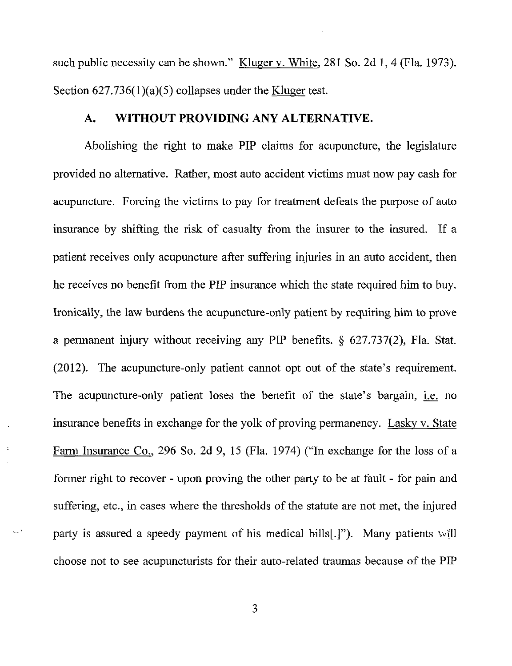such public necessity can be shown." Kluger v. White, 281 So. 2d 1, 4 (Fla. 1973). Section 627.736(1)(a)(5) collapses under the <u>Kluger</u> test.

### A. WITHOUT PROVIDING ANY ALTERNATIVE.

Abolishing the right to make PIP claims for acupuncture, the legislature Abolishing the right to make PIP claims for acupuncture, the legislature provided no alternative. Rather, most auto accident victims must now pay cash for provided no alternative. Rather, most auto accident victims must now pay cash for acupuncture. Forcing the victims to pay for treatment defeats the purpose of auto acupuncture. Forcing the victims to pay for treatment defeats the purpose of auto insurance by shifting the risk of casualty from the insurer to the insured. If a insurance by shifting the risk of casualty from the insurer to the insured. If a patient receives only acupuncture after suffering injuries in an auto accident, then patient receives only acupuncture after suffering injuries in an auto accident, then he receives no benefit from the PIP insurance which the state required him to buy. he receives no benefit from the PIP insurance which the state required him to buy. Ironically, the law burdens the acupuncture-only patient by requiring him to prove Ironically, the law burdens the acupuncture-only patient by requiring him to prove a permanent injury without receiving any PIP benefits. § 627.737(2), Fla. Stat. a permanent injury without receiving any PIP benefits. § 627.737(2), Fla. Stat. (2012). The acupuncture-only patient cannot opt out of the state's requirement. (2012). The acupuncture-only patient cannot opt out of the state's requirement. The acupuncture-only patient loses the benefit of the state's bargain, i.e. no The acupuncture-only patient loses the benefit of the state's bargain, i.e. no insurance benefits in exchange for the yolk of proving permanency. Lasky v. State Farm Insurance Co., 296 So. 2d 9, 15 (Fla. 1974) ("In exchange for the loss of a Farm Insurance Co., 296 So. 2d 9, <sup>15</sup> (Fla. 1974) ("In exchange for the loss of a former right to recover - upon proving the other party to be at fault - for pain and suffering, etc., in cases where the thresholds of the statute are not met, the injured party is assured a speedy payment of his medical bills[.j"). Many patients will party is assured a speedy payment of his medical bills[.j"). Many patients will choose not to see acupuncturists for their auto-related traumas because of the PIP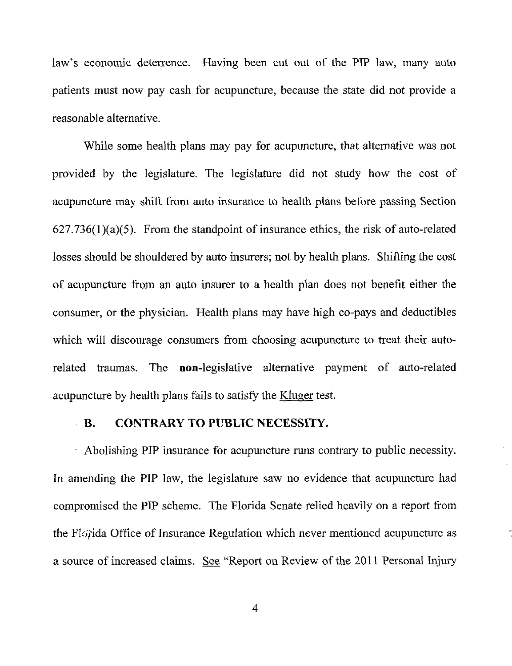law's economic deterrence. Having been cut out of the PIP law, many auto law's economic deterrence. Having been cut out of the PIP law, many auto patients must now pay cash for acupuncture, because the state did not provide a patients must now pay cash for acupuncture, because the state did not provide a reasonable alternative. reasonable alternative.

While some health plans may pay for acupuncture, that alternative was not While some health plans may pay for acupuncture, that alternative was not provided by the legislature. The legislature did not study how the cost of provided by the legislature. The legislature did not study how the cost of acupuncture may shift from auto insurance to health plans before passing Section acupuncture may shift from auto insurance to health plans before passing Section 627.736(l)(a)(5). From the standpoint of insurance ethics, the risk of auto-related *627.736(1)(a)(5).* From the standpoint of insurance ethics, the risk of auto-related losses should be shouldered by auto insurers; not by health plans. Shifting the cost losses should be shouldered by auto insurers; not by health plans. Shifting the cost of acupuncture from an auto insurer to a health plan does not benefit either the of acupuncture from an auto insurer to a health plan does not benefit either the consumer, or the physician. Health plans may have high co-pays and deductibles consumer, or the physician. Health plans may have high co-pays and deductibles which will discourage consumers from choosing acupuncture to treat their auto-which will discourage consumers from choosing acupuncture to treat their autorelated traumas. The non-legislative alternative payment of auto-related acupuncture by health plans fails to satisfy the Kluger test.

## B. CONTRARY TO PUBLIC NECESSITY. B. CONTRARY TO PUBLIC NECESSITY.

Abolishing PIP insurance for acupuncture runs contrary to public necessity. Abolishing PIP insurance for acupuncture runs contrary to public necessity. In amending the PIP law, the legislature saw no evidence that acupuncture had In amending the PIP law, the legislature saw no evidence that acupuncture had compromised the PIP scheme. The Florida Senate relied heavily on a report from compromised the PIP scheme. The Florida Senate relied heavily on a report from the Flo<sub>i</sub>tida Office of Insurance Regulation which never mentioned acupuncture as a source of increased claims. So e "Report on Review of the 2011 Personal Injury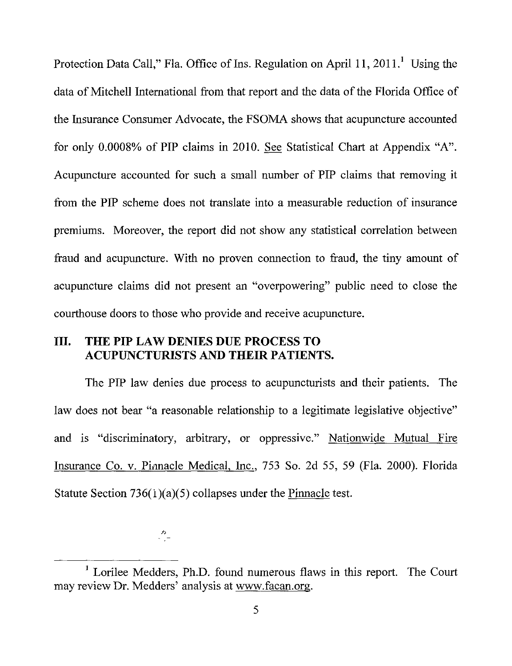Protection Data Call," Fla. Office of Ins. Regulation on April 11, 2011.<sup>1</sup> Using the data of Mitchell International from that report and the data of the Florida Office of the Insurance Consumer Advocate, the FSOMA shows that acupuncture accounted the Insurance Consumer Advocate, the FSOMA shows that acupuncture accounted for only 0.0008% of PIP claims in 2010. See Statistical Chart at Appendix "A". Acupuncture accounted for such a small number of PIP claims that removing it Acupuncture accounted for such a small number of PIP claims that removing it from the PIP scheme does not translate into a measurable reduction of insurance from the PIP scheme does not translate into a measurable reduction of insurance premiums. Moreover, the report did not show any statistical correlation between premiums. Moreover, the report did not show any statistical correlation between fraud and acupuncture. With no proven connection to fraud, the tiny amount of fraud and acupuncture. With no proven connection to fraud, the tiny amount of acupuncture claims did not present an "overpowering" public need to close the acupuncture claims did not present an "overpowering" public need to close the courthouse doors to those who provide and receive acupuncture. courthouse doors to those who provide and receive acupuncture.

## Ill. THE PIP LAW DENIES DUE PROCESS TO **Ill. THE PIP LAW** DENIES DUE PROCESS TO ACUPUNCTURISTS AND THEIR PATIENTS. ACUPUNCTURISTS AND THEIR PATIENTS.

The PIP law denies due process to acupuncturists and their patients. The The PIP law denies due process to acupuncturists and their patients. The law does not bear "a reasonable relationship to a legitimate legislative objective" law does not bear "a reasonable relationship to a legitimate legislative objective" and is "discriminatory, arbitrary, or oppressive." Nationwide Mutual Fire Insurance Co. v. Pinnacle Medical, Inc., 753 So. 2d 55, 59 (Fla. 2000). Florida Insurance Co. v. Pinnacle Medical, Inc., 753 So. 2d *55,* 59 (FIa. 2000). Florida Statute Section 736(1)(a)(5) collapses under the Pinnacle test.

 $\mathcal{F}$  , where  $\mathcal{F}$ 7,

Lorilee Medders, Ph.D. found numerous flaws in this report. The Court may review Dr. Medders' analysis at www.facan.org. may review Dr. Medders' analysis at www.facan.org. Lorilee Medders, Ph.D. found numerous flaws in this report. The Court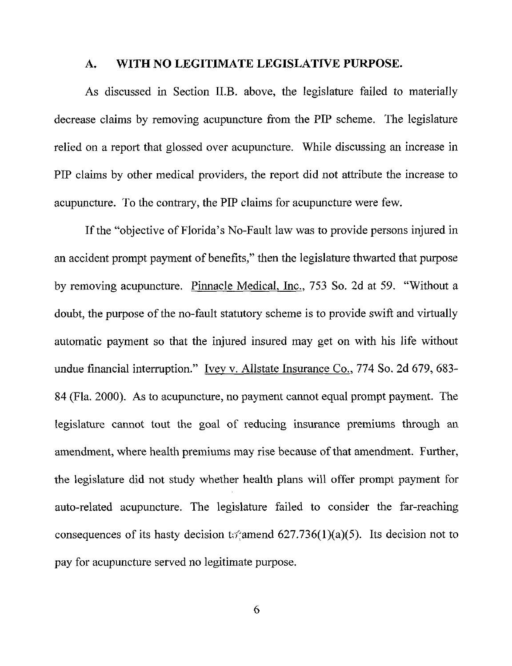#### A. WITH NO LEGITIMATE LEGISLATIVE PURPOSE. **A. WITH NO LEGITIMATE LEGISLATIVE PURPOSE.**

As discussed in Section II.B. above, the legislature failed to materially As discussed in Section II.B. above, the legislature failed to materially decrease claims by removing acupuncture from the PIP scheme. The legislature decrease claims by removing acupuncture from the PIP scheme. The legislature relied on a report that glossed over acupuncture. While discussing an increase in PIP claims by other medical providers, the report did not attribute the increase to PIP claims by other medical providers, the report did not attribute the increase to acupuncture. To the contrary, the PIP claims for acupuncture were few. acupuncture. To the contrary, the PIP claims for acupuncture were few.

If the "objective of Florida's No-Fault law was to provide persons injured in If the "objective of Florida's No-Fault law was to provide persons injured in an accident prompt payment of benefits," then the legislature thwarted that purpose an accident prompt payment of benefits," then the legislature thwarted that purpose by removing acupuncture. Pinnacle Medical. Inc., 753 So. 2d at 59. "Without a by removing acupuncture. Pinnacle Medical. Inc., 753 So. 2d at *59.* "Without a doubt, the purpose of the no-fault statutory scheme is to provide swift and virtually automatic payment so that the injured insured may get on with his life without automatic payment so that the injured insured may get on with his life without undue financial interruption." Ivey v. Allstate Insurance Co., 774 So. 2d 679, 683-84 (Fla. 2000). As to acupuncture, no payment cannot equal prompt payment. The 84 (Fla. 2000). Asto acupuncture, no payment cannot equal prompt payment. The legislature cannot tout the goal of reducing insurance premiums through an legislature cannot tout the goal of reducing insurance premiums through an amendment, where health premiums may rise because of that amendment. Further, amendment, where health premiums may rise because ofthat amendment. Further, the legislature did not study whether health plans will offer prompt payment for the legislature did not study whether health plans will offer prompt payment for auto-related acupuncture. The legislature failed to consider the far-reaching auto-related acupuncture. The legislature failed to consider the far-reaching consequences of its hasty decision to amend 627.736(1)(a)(5). Its decision not to pay for acupuncture served no legitimate purpose. pay for acupuncture served no legitimate purpose.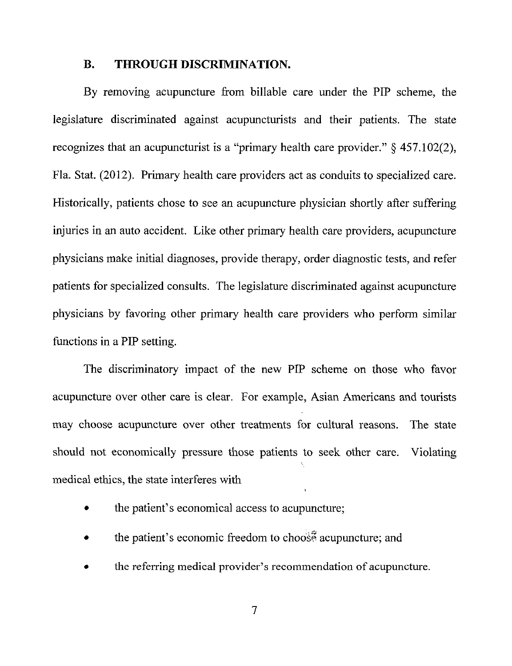#### B. THROUGH DISCRIMINATION. **B. THROUGH DISCRIMINATION.**

By removing acupuncture from billable care under the PIP scheme, the By removing acupuncture from billable care under the PIP scheme, the legislature discriminated against acupuncturists and their patients. The state legislature discriminated against acupuncturists and their patients. The state recognizes that an acupuncturist is a "primary health care provider."  $\S$  457.102(2), Fla. Stat. (2012). Primary health care providers act as conduits to specialized care. Fla. Stat. (2012). Primary health care providers act as conduits to specialized care. Historically, patients chose to see an acupuncture physician shortly after suffering Historically, paticnts chose to see an acupuncture physician shortly after suffering injuries in an auto accident. Like other primary health care providers, acupuncture injuries in an auto accident. Like other primary health care providers, acupuncture physicians make initial diagnoses, provide therapy, order diagnostic tests, and refer physicians make initial diagnoses, provide therapy, order diagnostic tests, and refer patients for specialized consults. The legislature discriminated against acupuncture patients for specialized consults. The legislature discriminated against acupuncture physicians by favoring other primary health care providers who perform similar physicians by favoring other primary health care providers who perform similar functions in a PIP setting. functions in a PIP setting.

The discriminatory impact of the new PIP scheme on those who favor The discriminatory impact of the new PIP scheme on those who favor acupuncture over other care is clear. For example, Asian Americans and tourists acupuncture over other care is clear. For example, Asian Americans and tourists may choose acupuncture over other treatments for cultural reasons. The state may choose acupuncture over other treatments for cultural reasons. The state should not economically pressure those patients to seek other care. Violating should not economically pressure those patients to seek other care. Violating medical ethics, the state interferes with medical ethics, the state interferes with

- the patient's economical access to acupuncture; the patient's economical access to acupuncture;
- the patient's economic freedom to choose acupuncture; and
- the referring medical provider's recommendation of acupuncture. the referring medical provider's recommendation of acupuncture.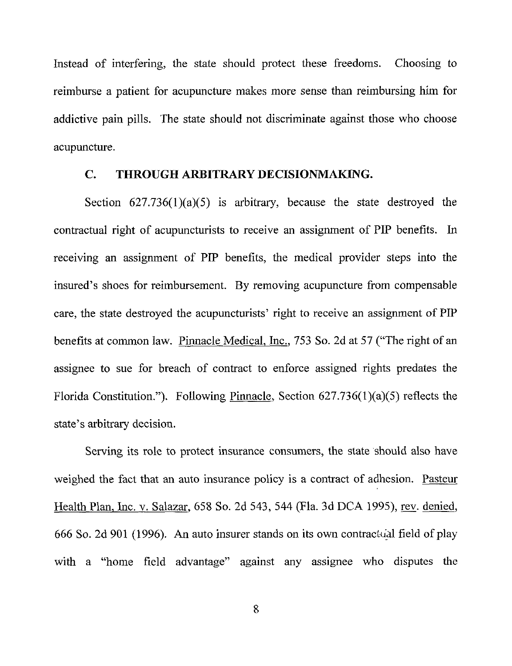Instead of interfering, the state should protect these freedoms. Choosing to Instead of interfering, the state should protect these freedoms. Choosing to reimburse a patient for acupuncture makes more sense than reimbursing him for addictive pain pills. The state should not discriminate against those who choose acupuncture. acupuncture.

#### C. THROUGH ARBITRARY DECISIONMAKING. C. THROUGH ARBITRARY DECISIONMAKING.

Section 627.736(l)(a)(5) is arbitrary, because the state destroyed the Section 627.736(1)(a)(5) is arbitrary, because the state destroyed the contractual right of acupuncturists to receive an assignment of PIP benefits. In receiving an assignment of PIP benefits, the medical provider steps into the receiving an assignment of PIP benefits, the medical provider steps into the insured's shoes for reimbursement. By removing acupuncture from compensable insured's shoes for reimbursement. By removing acupuncture from compensable care, the state destroyed the acupuncturists' right to receive an assignment of PIP benefits at common law. Pinnacle Medical, Inc., 753 So. 2d at 57 ("The right of an benefits at common law. Pinnacle Medical, Inc., *753* So. 2d at *57* ("The right of an assignee to sue for breach of contract to enforce assigned rights predates the assignee to sue for breach of contract to enforce assigned rights predates the Florida Constitution."). Following Pinnacle, Section 627.736(1)(a)(5) reflects the state's arbitrary decision. state's arbitrary decision.

Serving its role to protect insurance consumers, the state should also have Serving its role to protect insurance consumers, the state should also have weighed the fact that an auto insurance policy is a contract of adhesion. Pasteur weighed the fact that an auto insurance policy is a contract of adhesion. Pasteur Health Plan, Inc. v. Salazar, 658 So. 2d 543, 544 (Fla. 3d DCA 1995), rev, denied, Health Plan, Inc. v. Salazar, 658 So. 2d 543, 544 (Fla. 3d DCA 1995), rev, denied, 666 So. 2d 901 (1996). An auto insurer stands on its own contractual field of play with a "home field advantage" against any assignee who disputes the with a "home field advantage" against any assignee who disputes the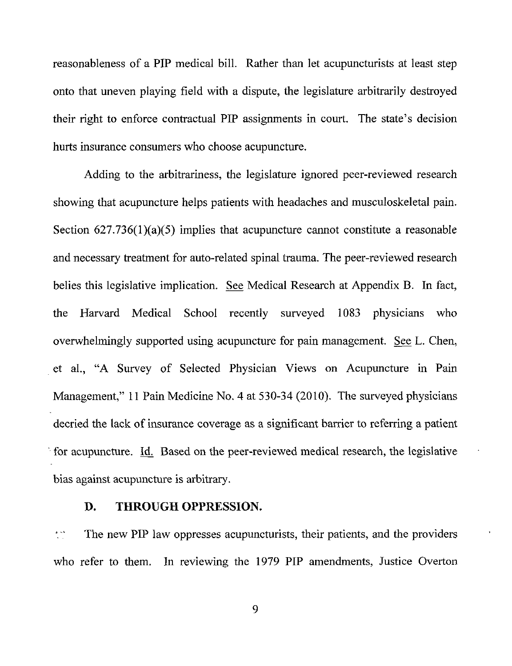reasonableness of a PIP medical bill. Rather than let acupuncturists at least step reasonableness of a PIP medical bill. Rather than let acupuncturists at least step onto that uneven playing field with a dispute, the legislature arbitrarily destroyed onto that uneven playing field with a dispute, the legislature arbitrarily destroyed their right to enforce contractual PIP assignments in court. The state's decision hurts insurance consumers who choose acupuncture. hurts insurance consumers who choose acupuncture.

Adding to the arbitrariness, the legislature ignored peer-reviewed research Adding to the arbitrariness, the legislature ignored peer-reviewed research showing that acupuncture helps patients with headaches and musculoskeletal pain. showing that acupuncture helps patients with headaches and musculoskeletal pain. Section 627.736(1)(a)(5) implies that acupuncture cannot constitute a reasonable Section *627.736(1)(a)(5)* implies that acupuncture cannot constitute a reasonable and necessary treatment for auto-related spinal trauma. The peer-reviewed research and necessary treatment for auto-related spinal trauma. The peer-reviewed research belies this legislative implication. See Medical Research at Appendix B. In fact, the Harvard Medical School recently surveyed 1083 physicians who the Harvard Medical School recently surveyed 1083 physicians who overwhelmingly supported using acupuncture for pain management. See L. Chen, overwhelmingly supported using acupuncture for pain management. See *L.* Chen, et al., "A Survey of Selected Physician Views on Acupuncture in Pain et al., "A Survey of Selected Physician Views on Acupuncture in Pain Management," 11 Pain Medicine No. 4 at 530-34 (2010). The surveyed physicians Management," <sup>11</sup> Pain Medicine No. 4 at 530-34 (2010). The surveyed physicians decried the lack of insurance coverage as a significant barrier to referring a patient for acupuncture. Id. Based on the peer-reviewed medical research, the legislative bias against acupuncture is arbitrary. bias against acupuncture is arbitrary.

# D. THROUGH OPPRESSION.

The new PIP law oppresses acupuncturists, their patients, and the providers The new PIP law oppresses acupuncturists, their patients, and the providers  $\frac{1}{2}$ who refer to them. In reviewing the 1979 PIP amendments, Justice Overton who refer to them. In reviewing the 1979 PIP amendments, Justice Overton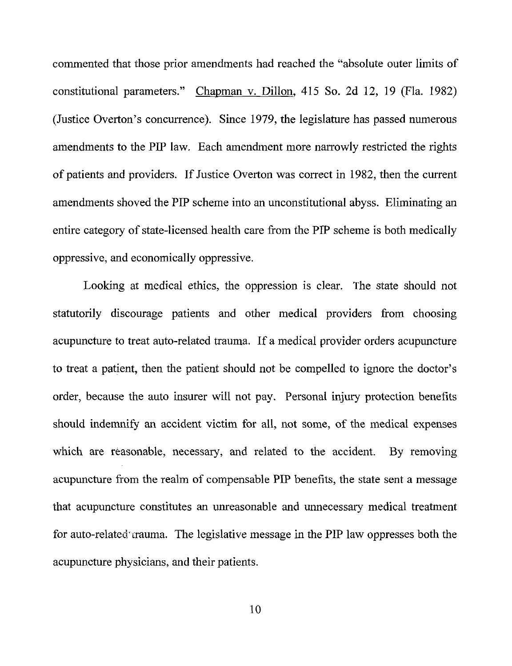commented that those prior amendments had reached the "absolute outer limits of commented that those prior amendments had reached the "absolute outer limits of constitutional parameters." Chapman v. Dillon, 415 So. 2d 12, 19 (Fla. 1982) constitutional parameters." Chapman v. Dillon, 415 So. 2d 12, 19 (Fla. 1982) (Justice Overton's concurrence). Since 1979, the legislature has passed numerous (Justice Overton's concurrence). Since 1979, the legislature has passed numerous amendments to the PIP law. Each amendment more narrowly restricted the rights amendments to the PIP law. Each amendment more narrowly restricted the rights of patients and providers. If Justice Overton was correct in 1982, then the current amendments shoved the PIP scheme into an unconstitutional abyss. Eliminating an amendments shoved the PIP scheme into an unconstitutional abyss. Eliminating an entire category of state-licensed health care from the PIP scheme is both medically oppressive, and economically oppressive. oppressive, and economically oppressive.

Looking at medical ethics, the oppression is clear. The state should not Looking at medical ethics, the oppression is clear. The state should not statutorily discourage patients and other medical providers from choosing statutorily discourage patients and other medical providers from choosing acupuncture to treat auto-related trauma. If a medical provider orders acupuncture acupuncture to treat auto-related trauma. If a medical provider orders acupuncture to treat a patient, then the patient should not be compelled to ignore the doctor's to treat a patient, then the patient should not be compelled to ignore the doctor's order, because the auto insurer will not pay. Personal injury protection benefits order, because the auto insurer will not pay. Personal injury protection benefits should indemnify an accident victim for all, not some, of the medical expenses which are reasonable, necessary, and related to the accident. By removing which are reasonable, necessary, and related to the accident. By removing acupuncture from the realm of compensable PIP benefits, the state sent a message acupuncture from the realm of compensable PIP benefits, the state sent a message that acupuncture constitutes an unreasonable and unnecessary medical treatment that acupuncture constitutes an unreasonable and unnecessary medical treatment for auto-related rauma. The legislative message in the PIP law oppresses both the acupuncture physicians, and their patients. acupuncture physicians, and their patients.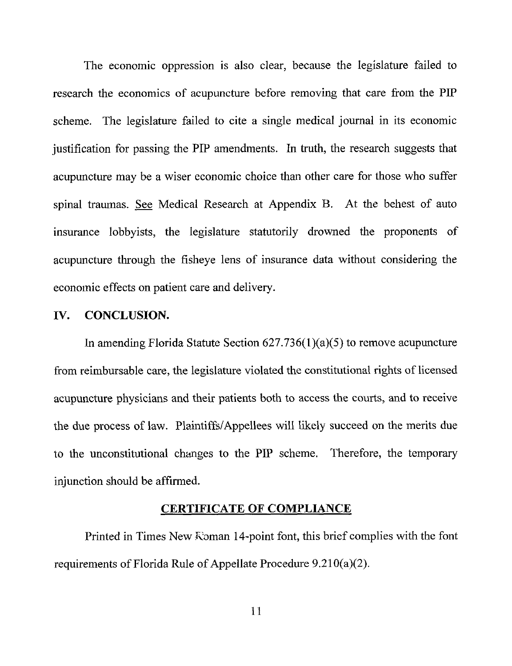The economic oppression is also clear, because the legislature failed to The economic oppression is also clear, because the legislature failed to research the economics of acupuncture before removing that care from the PIP scheme. The legislature failed to cite a single medical journal in its economic scheme. The legislature failed to cite a single medical journal in its economic justification for passing the PIP amendments. In truth, the research suggests that justification for passing the PIP amendments. In truth, the research suggests that acupuncture may be a wiser economic choice than other care for those who suffer acupuncture may be a wiser economic choice than other care for those who suffer spinal traumas. See Medical Research at Appendix B. At the behest of auto insurance lobbyists, the legislature statutorily drowned the proponents of insurance lobbyists, the legislature statutorily drowned the proponents of acupuncture through the fisheye lens of insurance data without considering the acupuncture through the fisheye lens of insurance data without considering the economic effects on patient care and delivery. economic effects on patient care and delivery.

#### IV. CONCLUSION. **IV. CONCLUSION.**

In amending Florida Statute Section 627.736(l)(a)(5) to remove acupuncture In amending Florida Statute Section 627.736(l)(a)(5) to remove acupuncture from reimbursable care, the legislature violated the constitutional rights of licensed from reimbursable care, the legislature violated the constitutional rights of licensed acupuncture physicians and their patients both to access the courts, and to receive acupuncture physicians and their patients both to access the courts, and to receive the due process of law. Plaintiffs/Appellees will likely succeed on the merits due the due process of law. Plaintiffs/Appellees will likely succeed on the merits due to the unconstitutional changes to the PIP scheme. Therefore, the temporary to the unconstitutional changes to the PIP scheme. Therefore, the temporary injunction should be affirmed. injunction should be affirmed.

#### CERTIFICATE OF COMPLIANCE **CERTIFICATE OF COMPLIANCE**

Printed in Times New Roman 14-point font, this brief complies with the font requirements of Florida Rule of Appellate Procedure 9.21 O(a)(2). requirements of Florida Rule of Appellate Procedure 9.21 0(a)(2).